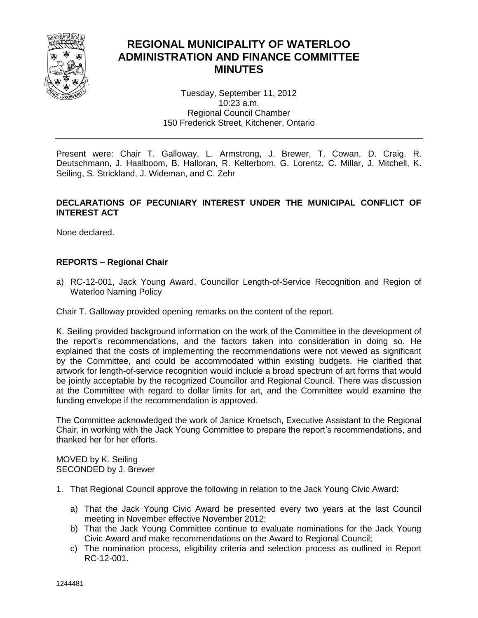

# **REGIONAL MUNICIPALITY OF WATERLOO ADMINISTRATION AND FINANCE COMMITTEE MINUTES**

Tuesday, September 11, 2012 10:23 a.m. Regional Council Chamber 150 Frederick Street, Kitchener, Ontario

Present were: Chair T. Galloway, L. Armstrong, J. Brewer, T. Cowan, D. Craig, R. Deutschmann, J. Haalboom, B. Halloran, R. Kelterborn, G. Lorentz, C. Millar, J. Mitchell, K. Seiling, S. Strickland, J. Wideman, and C. Zehr

### **DECLARATIONS OF PECUNIARY INTEREST UNDER THE MUNICIPAL CONFLICT OF INTEREST ACT**

None declared.

### **REPORTS – Regional Chair**

a) RC-12-001, Jack Young Award, Councillor Length-of-Service Recognition and Region of Waterloo Naming Policy

Chair T. Galloway provided opening remarks on the content of the report.

K. Seiling provided background information on the work of the Committee in the development of the report's recommendations, and the factors taken into consideration in doing so. He explained that the costs of implementing the recommendations were not viewed as significant by the Committee, and could be accommodated within existing budgets. He clarified that artwork for length-of-service recognition would include a broad spectrum of art forms that would be jointly acceptable by the recognized Councillor and Regional Council. There was discussion at the Committee with regard to dollar limits for art, and the Committee would examine the funding envelope if the recommendation is approved.

The Committee acknowledged the work of Janice Kroetsch, Executive Assistant to the Regional Chair, in working with the Jack Young Committee to prepare the report's recommendations, and thanked her for her efforts.

MOVED by K. Seiling SECONDED by J. Brewer

- 1. That Regional Council approve the following in relation to the Jack Young Civic Award:
	- a) That the Jack Young Civic Award be presented every two years at the last Council meeting in November effective November 2012;
	- b) That the Jack Young Committee continue to evaluate nominations for the Jack Young Civic Award and make recommendations on the Award to Regional Council;
	- c) The nomination process, eligibility criteria and selection process as outlined in Report RC-12-001.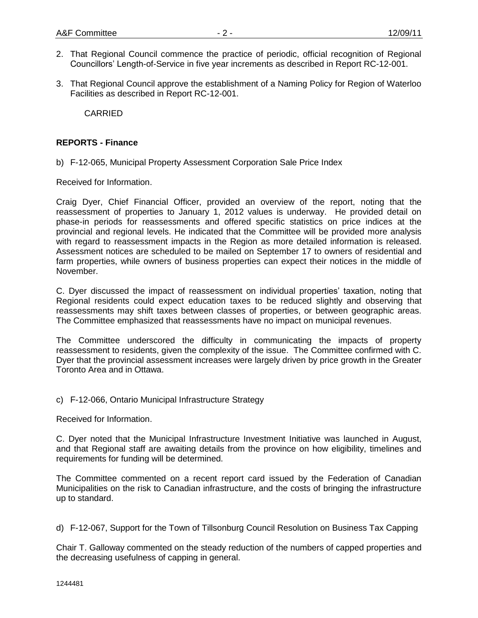- 2. That Regional Council commence the practice of periodic, official recognition of Regional Councillors' Length-of-Service in five year increments as described in Report RC-12-001.
- 3. That Regional Council approve the establishment of a Naming Policy for Region of Waterloo Facilities as described in Report RC-12-001.

CARRIED

#### **REPORTS - Finance**

b) F-12-065, Municipal Property Assessment Corporation Sale Price Index

Received for Information.

Craig Dyer, Chief Financial Officer, provided an overview of the report, noting that the reassessment of properties to January 1, 2012 values is underway. He provided detail on phase-in periods for reassessments and offered specific statistics on price indices at the provincial and regional levels. He indicated that the Committee will be provided more analysis with regard to reassessment impacts in the Region as more detailed information is released. Assessment notices are scheduled to be mailed on September 17 to owners of residential and farm properties, while owners of business properties can expect their notices in the middle of November.

C. Dyer discussed the impact of reassessment on individual properties' taxation, noting that Regional residents could expect education taxes to be reduced slightly and observing that reassessments may shift taxes between classes of properties, or between geographic areas. The Committee emphasized that reassessments have no impact on municipal revenues.

The Committee underscored the difficulty in communicating the impacts of property reassessment to residents, given the complexity of the issue. The Committee confirmed with C. Dyer that the provincial assessment increases were largely driven by price growth in the Greater Toronto Area and in Ottawa.

#### c) F-12-066, Ontario Municipal Infrastructure Strategy

Received for Information.

C. Dyer noted that the Municipal Infrastructure Investment Initiative was launched in August, and that Regional staff are awaiting details from the province on how eligibility, timelines and requirements for funding will be determined.

The Committee commented on a recent report card issued by the Federation of Canadian Municipalities on the risk to Canadian infrastructure, and the costs of bringing the infrastructure up to standard.

d) F-12-067, Support for the Town of Tillsonburg Council Resolution on Business Tax Capping

Chair T. Galloway commented on the steady reduction of the numbers of capped properties and the decreasing usefulness of capping in general.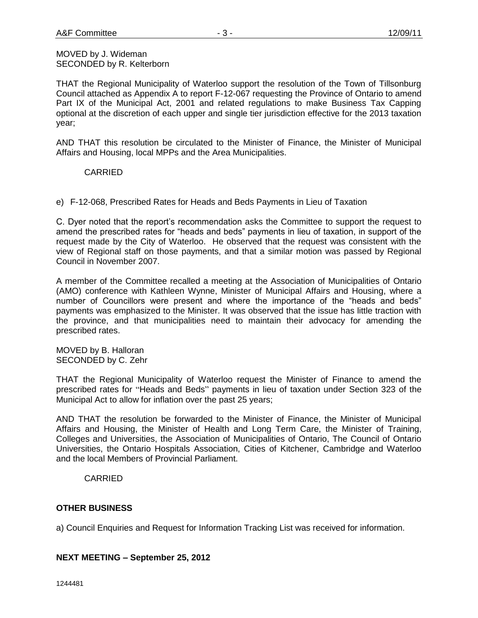#### MOVED by J. Wideman SECONDED by R. Kelterborn

THAT the Regional Municipality of Waterloo support the resolution of the Town of Tillsonburg Council attached as Appendix A to report F-12-067 requesting the Province of Ontario to amend Part IX of the Municipal Act, 2001 and related regulations to make Business Tax Capping optional at the discretion of each upper and single tier jurisdiction effective for the 2013 taxation year;

AND THAT this resolution be circulated to the Minister of Finance, the Minister of Municipal Affairs and Housing, local MPPs and the Area Municipalities.

# CARRIED

e) F-12-068, Prescribed Rates for Heads and Beds Payments in Lieu of Taxation

C. Dyer noted that the report's recommendation asks the Committee to support the request to amend the prescribed rates for "heads and beds" payments in lieu of taxation, in support of the request made by the City of Waterloo. He observed that the request was consistent with the view of Regional staff on those payments, and that a similar motion was passed by Regional Council in November 2007.

A member of the Committee recalled a meeting at the Association of Municipalities of Ontario (AMO) conference with Kathleen Wynne, Minister of Municipal Affairs and Housing, where a number of Councillors were present and where the importance of the "heads and beds" payments was emphasized to the Minister. It was observed that the issue has little traction with the province, and that municipalities need to maintain their advocacy for amending the prescribed rates.

MOVED by B. Halloran SECONDED by C. Zehr

THAT the Regional Municipality of Waterloo request the Minister of Finance to amend the prescribed rates for "Heads and Beds" payments in lieu of taxation under Section 323 of the Municipal Act to allow for inflation over the past 25 years;

AND THAT the resolution be forwarded to the Minister of Finance, the Minister of Municipal Affairs and Housing, the Minister of Health and Long Term Care, the Minister of Training, Colleges and Universities, the Association of Municipalities of Ontario, The Council of Ontario Universities, the Ontario Hospitals Association, Cities of Kitchener, Cambridge and Waterloo and the local Members of Provincial Parliament.

# CARRIED

#### **OTHER BUSINESS**

a) Council Enquiries and Request for Information Tracking List was received for information.

#### **NEXT MEETING – September 25, 2012**